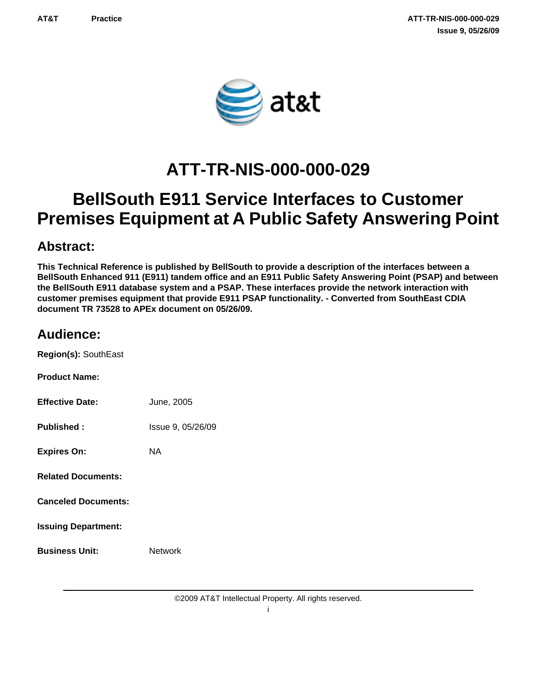

# **ATT-TR-NIS-000-000-029**

# **BellSouth E911 Service Interfaces to Customer Premises Equipment at A Public Safety Answering Point**

### **Abstract:**

**This Technical Reference is published by BellSouth to provide a description of the interfaces between a BellSouth Enhanced 911 (E911) tandem office and an E911 Public Safety Answering Point (PSAP) and between the BellSouth E911 database system and a PSAP. These interfaces provide the network interaction with customer premises equipment that provide E911 PSAP functionality. - Converted from SouthEast CDIA document TR 73528 to APEx document on 05/26/09.**

### **Audience:**

**Region(s):** SouthEast

| <b>Product Name:</b>   |            |
|------------------------|------------|
| <b>Effective Date:</b> | June, 2005 |

**Published :** Issue 9, 05/26/09

**Expires On:** NA

**Related Documents:**

**Canceled Documents:**

**Issuing Department:**

**Business Unit:** Network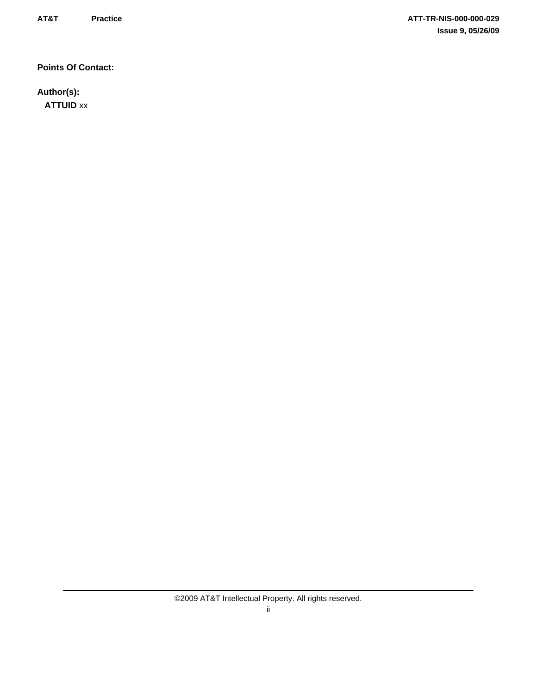**Points Of Contact:**

**Author(s): ATTUID** xx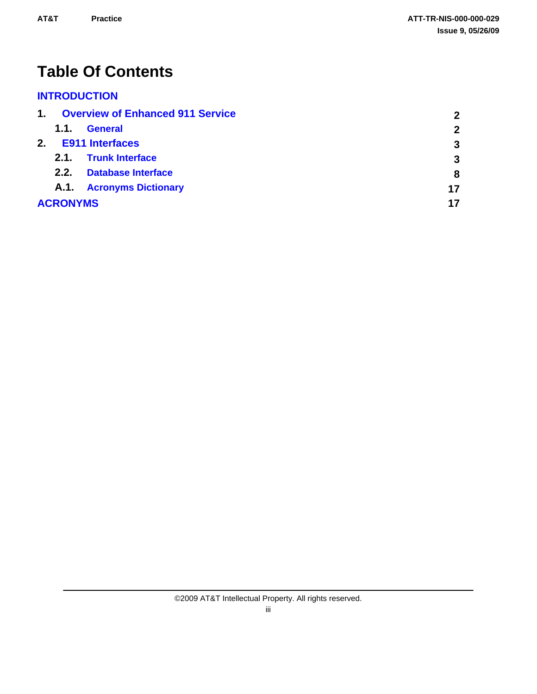# **Table Of Contents**

### **[INTRODUCTION](#page-4-0)**

| 1. |                 | <b>Overview of Enhanced 911 Service</b> | $\overline{2}$ |
|----|-----------------|-----------------------------------------|----------------|
|    | 1.1.            | <b>General</b>                          | $\overline{2}$ |
| 2. |                 | <b>E911 Interfaces</b>                  | 3              |
|    | 2.1.            | <b>Trunk Interface</b>                  | 3              |
|    | 2.2.            | <b>Database Interface</b>               | 8              |
|    |                 | A.1. Acronyms Dictionary                | 17             |
|    | <b>ACRONYMS</b> |                                         | 17             |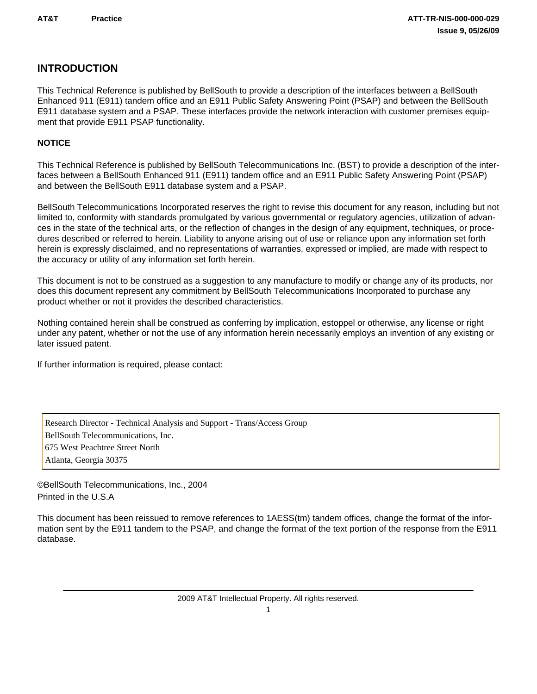### <span id="page-4-0"></span>**INTRODUCTION**

This Technical Reference is published by BellSouth to provide a description of the interfaces between a BellSouth Enhanced 911 (E911) tandem office and an E911 Public Safety Answering Point (PSAP) and between the BellSouth E911 database system and a PSAP. These interfaces provide the network interaction with customer premises equipment that provide E911 PSAP functionality.

#### **NOTICE**

This Technical Reference is published by BellSouth Telecommunications Inc. (BST) to provide a description of the interfaces between a BellSouth Enhanced 911 (E911) tandem office and an E911 Public Safety Answering Point (PSAP) and between the BellSouth E911 database system and a PSAP.

BellSouth Telecommunications Incorporated reserves the right to revise this document for any reason, including but not limited to, conformity with standards promulgated by various governmental or regulatory agencies, utilization of advances in the state of the technical arts, or the reflection of changes in the design of any equipment, techniques, or procedures described or referred to herein. Liability to anyone arising out of use or reliance upon any information set forth herein is expressly disclaimed, and no representations of warranties, expressed or implied, are made with respect to the accuracy or utility of any information set forth herein.

This document is not to be construed as a suggestion to any manufacture to modify or change any of its products, nor does this document represent any commitment by BellSouth Telecommunications Incorporated to purchase any product whether or not it provides the described characteristics.

Nothing contained herein shall be construed as conferring by implication, estoppel or otherwise, any license or right under any patent, whether or not the use of any information herein necessarily employs an invention of any existing or later issued patent.

If further information is required, please contact:

Research Director - Technical Analysis and Support - Trans/Access Group BellSouth Telecommunications, Inc. 675 West Peachtree Street North Atlanta, Georgia 30375

©BellSouth Telecommunications, Inc., 2004 Printed in the U.S.A

This document has been reissued to remove references to 1AESS(tm) tandem offices, change the format of the information sent by the E911 tandem to the PSAP, and change the format of the text portion of the response from the E911 database.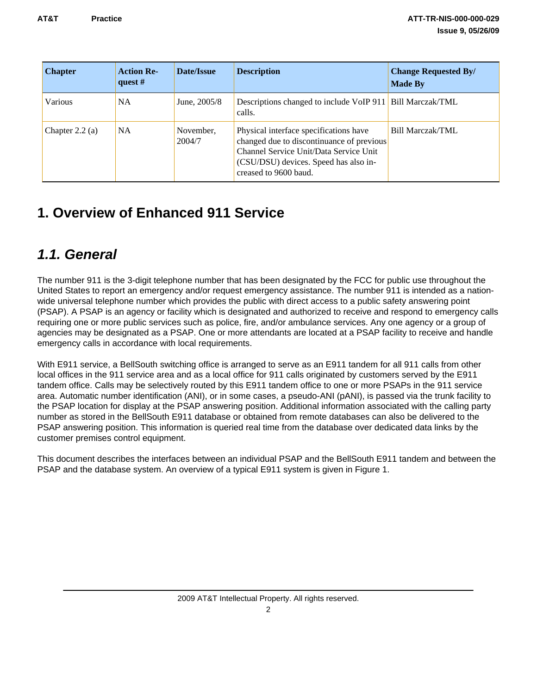<span id="page-5-0"></span>

| <b>Chapter</b>    | <b>Action Re-</b><br>quest $#$ | Date/Issue          | <b>Description</b>                                                                                                                                                                              | <b>Change Requested By/</b><br><b>Made By</b> |
|-------------------|--------------------------------|---------------------|-------------------------------------------------------------------------------------------------------------------------------------------------------------------------------------------------|-----------------------------------------------|
| Various           | NA.                            | June, 2005/8        | Descriptions changed to include VoIP 911 Bill Marczak/TML<br>calls.                                                                                                                             |                                               |
| Chapter $2.2$ (a) | NA.                            | November,<br>2004/7 | Physical interface specifications have<br>changed due to discontinuance of previous<br>Channel Service Unit/Data Service Unit<br>(CSU/DSU) devices. Speed has also in-<br>creased to 9600 baud. | Bill Marczak/TML                              |

## **1. Overview of Enhanced 911 Service**

## *1.1. General*

The number 911 is the 3-digit telephone number that has been designated by the FCC for public use throughout the United States to report an emergency and/or request emergency assistance. The number 911 is intended as a nationwide universal telephone number which provides the public with direct access to a public safety answering point (PSAP). A PSAP is an agency or facility which is designated and authorized to receive and respond to emergency calls requiring one or more public services such as police, fire, and/or ambulance services. Any one agency or a group of agencies may be designated as a PSAP. One or more attendants are located at a PSAP facility to receive and handle emergency calls in accordance with local requirements.

With E911 service, a BellSouth switching office is arranged to serve as an E911 tandem for all 911 calls from other local offices in the 911 service area and as a local office for 911 calls originated by customers served by the E911 tandem office. Calls may be selectively routed by this E911 tandem office to one or more PSAPs in the 911 service area. Automatic number identification (ANI), or in some cases, a pseudo-ANI (pANI), is passed via the trunk facility to the PSAP location for display at the PSAP answering position. Additional information associated with the calling party number as stored in the BellSouth E911 database or obtained from remote databases can also be delivered to the PSAP answering position. This information is queried real time from the database over dedicated data links by the customer premises control equipment.

This document describes the interfaces between an individual PSAP and the BellSouth E911 tandem and between the PSAP and the database system. An overview of a typical E911 system is given in Figure 1.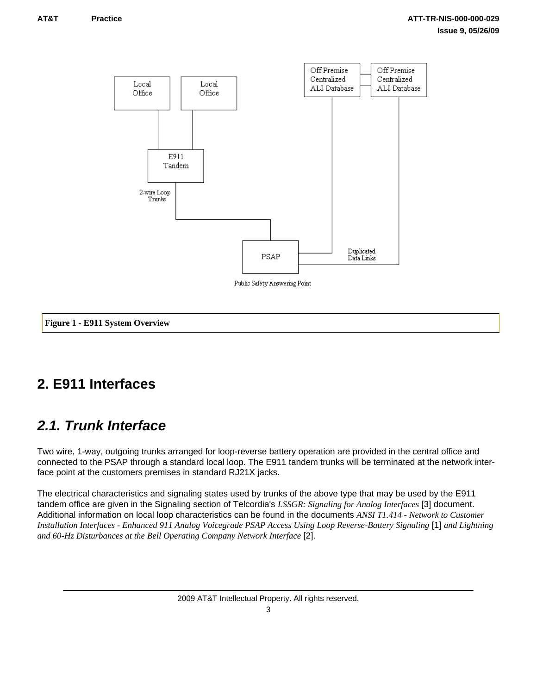<span id="page-6-0"></span>

Public Safety Answering Point

#### **Figure 1 - E911 System Overview**

## **2. E911 Interfaces**

## *2.1. Trunk Interface*

Two wire, 1-way, outgoing trunks arranged for loop-reverse battery operation are provided in the central office and connected to the PSAP through a standard local loop. The E911 tandem trunks will be terminated at the network interface point at the customers premises in standard RJ21X jacks.

The electrical characteristics and signaling states used by trunks of the above type that may be used by the E911 tandem office are given in the Signaling section of Telcordia's *LSSGR: Signaling for Analog Interfaces* [3] document. Additional information on local loop characteristics can be found in the documents *ANSI T1.414 - Network to Customer Installation Interfaces - Enhanced 911 Analog Voicegrade PSAP Access Using Loop Reverse-Battery Signaling* [1] *and Lightning and 60-Hz Disturbances at the Bell Operating Company Network Interface* [2].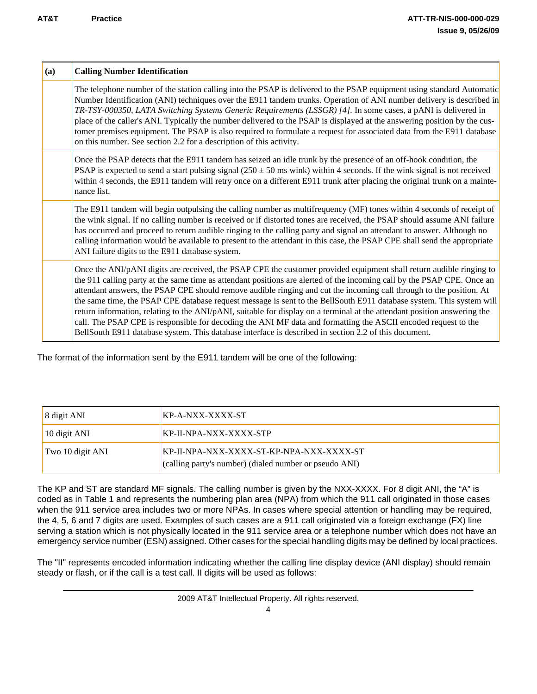| (a) | <b>Calling Number Identification</b>                                                                                                                                                                                                                                                                                                                                                                                                                                                                                                                                                                                                                                                                                                                                                                                                                 |
|-----|------------------------------------------------------------------------------------------------------------------------------------------------------------------------------------------------------------------------------------------------------------------------------------------------------------------------------------------------------------------------------------------------------------------------------------------------------------------------------------------------------------------------------------------------------------------------------------------------------------------------------------------------------------------------------------------------------------------------------------------------------------------------------------------------------------------------------------------------------|
|     | The telephone number of the station calling into the PSAP is delivered to the PSAP equipment using standard Automatic<br>Number Identification (ANI) techniques over the E911 tandem trunks. Operation of ANI number delivery is described in<br>TR-TSY-000350, LATA Switching Systems Generic Requirements (LSSGR) [4]. In some cases, a pANI is delivered in<br>place of the caller's ANI. Typically the number delivered to the PSAP is displayed at the answering position by the cus-<br>tomer premises equipment. The PSAP is also required to formulate a request for associated data from the E911 database<br>on this number. See section 2.2 for a description of this activity.                                                                                                                                                           |
|     | Once the PSAP detects that the E911 tandem has seized an idle trunk by the presence of an off-hook condition, the<br>PSAP is expected to send a start pulsing signal $(250 \pm 50 \text{ ms} \text{ with})$ within 4 seconds. If the wink signal is not received<br>within 4 seconds, the E911 tandem will retry once on a different E911 trunk after placing the original trunk on a mainte-<br>nance list.                                                                                                                                                                                                                                                                                                                                                                                                                                         |
|     | The E911 tandem will begin outpulsing the calling number as multifrequency (MF) tones within 4 seconds of receipt of<br>the wink signal. If no calling number is received or if distorted tones are received, the PSAP should assume ANI failure<br>has occurred and proceed to return audible ringing to the calling party and signal an attendant to answer. Although no<br>calling information would be available to present to the attendant in this case, the PSAP CPE shall send the appropriate<br>ANI failure digits to the E911 database system.                                                                                                                                                                                                                                                                                            |
|     | Once the ANI/pANI digits are received, the PSAP CPE the customer provided equipment shall return audible ringing to<br>the 911 calling party at the same time as attendant positions are alerted of the incoming call by the PSAP CPE. Once an<br>attendant answers, the PSAP CPE should remove audible ringing and cut the incoming call through to the position. At<br>the same time, the PSAP CPE database request message is sent to the BellSouth E911 database system. This system will<br>return information, relating to the ANI/pANI, suitable for display on a terminal at the attendant position answering the<br>call. The PSAP CPE is responsible for decoding the ANI MF data and formatting the ASCII encoded request to the<br>BellSouth E911 database system. This database interface is described in section 2.2 of this document. |

The format of the information sent by the E911 tandem will be one of the following:

| 8 digit ANI      | KP-A-NXX-XXXX-ST                                                                                   |
|------------------|----------------------------------------------------------------------------------------------------|
| 10 digit ANI     | KP-II-NPA-NXX-XXXX-STP                                                                             |
| Two 10 digit ANI | KP-II-NPA-NXX-XXXX-ST-KP-NPA-NXX-XXXX-ST<br>(calling party's number) (dialed number or pseudo ANI) |

The KP and ST are standard MF signals. The calling number is given by the NXX-XXXX. For 8 digit ANI, the "A" is coded as in Table 1 and represents the numbering plan area (NPA) from which the 911 call originated in those cases when the 911 service area includes two or more NPAs. In cases where special attention or handling may be required, the 4, 5, 6 and 7 digits are used. Examples of such cases are a 911 call originated via a foreign exchange (FX) line serving a station which is not physically located in the 911 service area or a telephone number which does not have an emergency service number (ESN) assigned. Other cases for the special handling digits may be defined by local practices.

The "II" represents encoded information indicating whether the calling line display device (ANI display) should remain steady or flash, or if the call is a test call. II digits will be used as follows: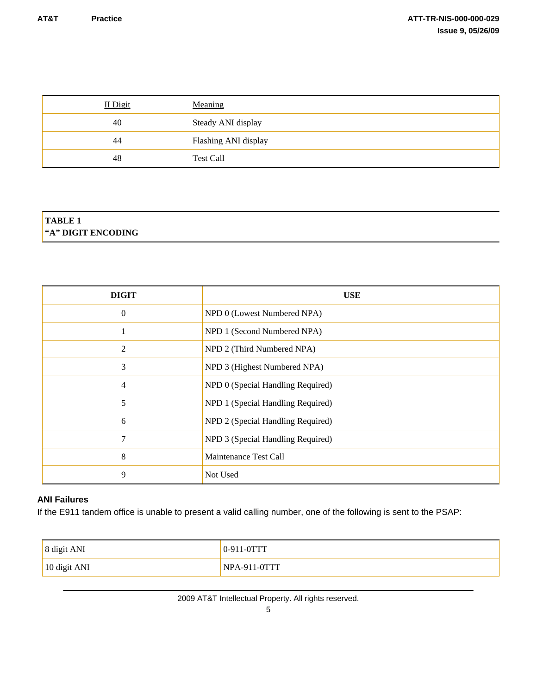| II Digit | Meaning              |
|----------|----------------------|
| 40       | Steady ANI display   |
| 44       | Flashing ANI display |
| 48       | <b>Test Call</b>     |

### **TABLE 1 "A" DIGIT ENCODING**

| <b>DIGIT</b>   | <b>USE</b>                        |
|----------------|-----------------------------------|
| $\Omega$       | NPD 0 (Lowest Numbered NPA)       |
| 1              | NPD 1 (Second Numbered NPA)       |
| $\overline{2}$ | NPD 2 (Third Numbered NPA)        |
| 3              | NPD 3 (Highest Numbered NPA)      |
| $\overline{4}$ | NPD 0 (Special Handling Required) |
| 5              | NPD 1 (Special Handling Required) |
| 6              | NPD 2 (Special Handling Required) |
| 7              | NPD 3 (Special Handling Required) |
| 8              | Maintenance Test Call             |
| 9              | Not Used                          |

#### **ANI Failures**

If the E911 tandem office is unable to present a valid calling number, one of the following is sent to the PSAP:

| 8 digit ANI  | 0-911-0TTT     |
|--------------|----------------|
| 10 digit ANI | $NPA-911-0TTT$ |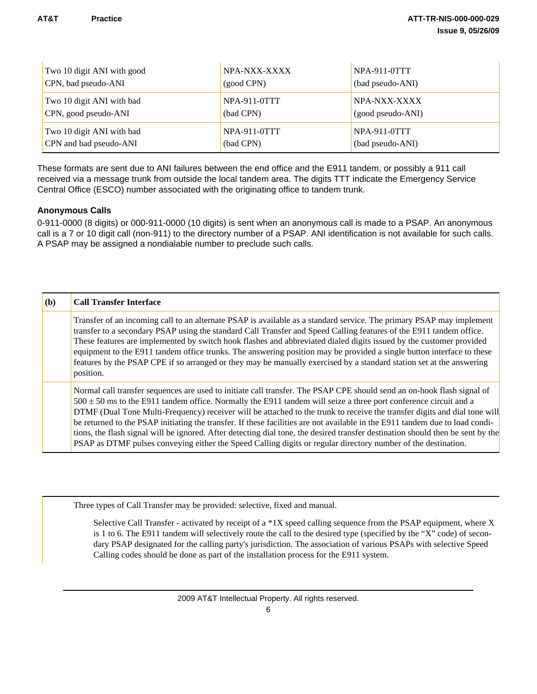| Two 10 digit ANI with good | NPA-NXX-XXXX        | NPA-911-0TTT        |
|----------------------------|---------------------|---------------------|
| CPN, bad pseudo-ANI        | (good CPN)          | (bad pseudo-ANI)    |
| Two 10 digit ANI with bad  | <b>NPA-911-0TTT</b> | NPA-NXX-XXXX        |
| CPN, good pseudo-ANI       | (bad CPN)           | (good pseudo-ANI)   |
| Two 10 digit ANI with bad  | $NPA-911-0TTT$      | <b>NPA-911-0TTT</b> |
| CPN and bad pseudo-ANI     | (bad CPN)           | (bad pseudo-ANI)    |

These formats are sent due to ANI failures between the end office and the E911 tandem, or possibly a 911 call received via a message trunk from outside the local tandem area. The digits TTT indicate the Emergency Service Central Office (ESCO) number associated with the originating office to tandem trunk.

#### **Anonymous Calls**

0-911-0000 (8 digits) or 000-911-0000 (10 digits) is sent when an anonymous call is made to a PSAP. An anonymous call is a 7 or 10 digit call (non-911) to the directory number of a PSAP. ANI identification is not available for such calls. A PSAP may be assigned a nondialable number to preclude such calls.

| (b) | <b>Call Transfer Interface</b>                                                                                                                                                                                                                                                                                                                                                                                                                                                                                                                                                                                                                                                                                                                                  |
|-----|-----------------------------------------------------------------------------------------------------------------------------------------------------------------------------------------------------------------------------------------------------------------------------------------------------------------------------------------------------------------------------------------------------------------------------------------------------------------------------------------------------------------------------------------------------------------------------------------------------------------------------------------------------------------------------------------------------------------------------------------------------------------|
|     | Transfer of an incoming call to an alternate PSAP is available as a standard service. The primary PSAP may implement<br>transfer to a secondary PSAP using the standard Call Transfer and Speed Calling features of the E911 tandem office.<br>These features are implemented by switch hook flashes and abbreviated dialed digits issued by the customer provided<br>equipment to the E911 tandem office trunks. The answering position may be provided a single button interface to these<br>features by the PSAP CPE if so arranged or they may be manually exercised by a standard station set at the answering<br>position.                                                                                                                                |
|     | Normal call transfer sequences are used to initiate call transfer. The PSAP CPE should send an on-hook flash signal of<br>$500 \pm 50$ ms to the E911 tandem office. Normally the E911 tandem will seize a three port conference circuit and a<br>DTMF (Dual Tone Multi-Frequency) receiver will be attached to the trunk to receive the transfer digits and dial tone will<br>be returned to the PSAP initiating the transfer. If these facilities are not available in the E911 tandem due to load condi-<br>tions, the flash signal will be ignored. After detecting dial tone, the desired transfer destination should then be sent by the<br>PSAP as DTMF pulses conveying either the Speed Calling digits or regular directory number of the destination. |

Three types of Call Transfer may be provided: selective, fixed and manual.

Selective Call Transfer - activated by receipt of a \*1X speed calling sequence from the PSAP equipment, where X is 1 to 6. The E911 tandem will selectively route the call to the desired type (specified by the "X" code) of secondary PSAP designated for the calling party's jurisdiction. The association of various PSAPs with selective Speed Calling codes should be done as part of the installation process for the E911 system.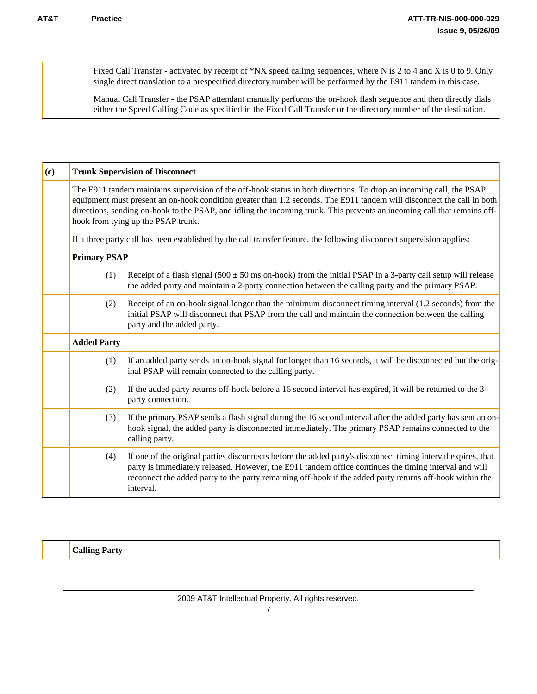Fixed Call Transfer - activated by receipt of \*NX speed calling sequences, where N is 2 to 4 and X is 0 to 9. Only single direct translation to a prespecified directory number will be performed by the E911 tandem in this case.

Manual Call Transfer - the PSAP attendant manually performs the on-hook flash sequence and then directly dials either the Speed Calling Code as specified in the Fixed Call Transfer or the directory number of the destination.

| (c) | <b>Trunk Supervision of Disconnect</b>                                                                                                                                                                                                                                                                                                                                                                          |     |                                                                                                                                                                                                                                                                                                                                                |
|-----|-----------------------------------------------------------------------------------------------------------------------------------------------------------------------------------------------------------------------------------------------------------------------------------------------------------------------------------------------------------------------------------------------------------------|-----|------------------------------------------------------------------------------------------------------------------------------------------------------------------------------------------------------------------------------------------------------------------------------------------------------------------------------------------------|
|     | The E911 tandem maintains supervision of the off-hook status in both directions. To drop an incoming call, the PSAP<br>equipment must present an on-hook condition greater than 1.2 seconds. The E911 tandem will disconnect the call in both<br>directions, sending on-hook to the PSAP, and idling the incoming trunk. This prevents an incoming call that remains off-<br>hook from tying up the PSAP trunk. |     |                                                                                                                                                                                                                                                                                                                                                |
|     |                                                                                                                                                                                                                                                                                                                                                                                                                 |     | If a three party call has been established by the call transfer feature, the following disconnect supervision applies:                                                                                                                                                                                                                         |
|     | <b>Primary PSAP</b>                                                                                                                                                                                                                                                                                                                                                                                             |     |                                                                                                                                                                                                                                                                                                                                                |
|     |                                                                                                                                                                                                                                                                                                                                                                                                                 | (1) | Receipt of a flash signal (500 $\pm$ 50 ms on-hook) from the initial PSAP in a 3-party call setup will release<br>the added party and maintain a 2-party connection between the calling party and the primary PSAP.                                                                                                                            |
|     |                                                                                                                                                                                                                                                                                                                                                                                                                 | (2) | Receipt of an on-hook signal longer than the minimum disconnect timing interval (1.2 seconds) from the<br>initial PSAP will disconnect that PSAP from the call and maintain the connection between the calling<br>party and the added party.                                                                                                   |
|     | <b>Added Party</b>                                                                                                                                                                                                                                                                                                                                                                                              |     |                                                                                                                                                                                                                                                                                                                                                |
|     |                                                                                                                                                                                                                                                                                                                                                                                                                 | (1) | If an added party sends an on-hook signal for longer than 16 seconds, it will be disconnected but the orig-<br>inal PSAP will remain connected to the calling party.                                                                                                                                                                           |
|     |                                                                                                                                                                                                                                                                                                                                                                                                                 | (2) | If the added party returns off-hook before a 16 second interval has expired, it will be returned to the 3-<br>party connection.                                                                                                                                                                                                                |
|     |                                                                                                                                                                                                                                                                                                                                                                                                                 | (3) | If the primary PSAP sends a flash signal during the 16 second interval after the added party has sent an on-<br>hook signal, the added party is disconnected immediately. The primary PSAP remains connected to the<br>calling party.                                                                                                          |
|     |                                                                                                                                                                                                                                                                                                                                                                                                                 | (4) | If one of the original parties disconnects before the added party's disconnect timing interval expires, that<br>party is immediately released. However, the E911 tandem office continues the timing interval and will<br>reconnect the added party to the party remaining off-hook if the added party returns off-hook within the<br>interval. |

**Calling Party**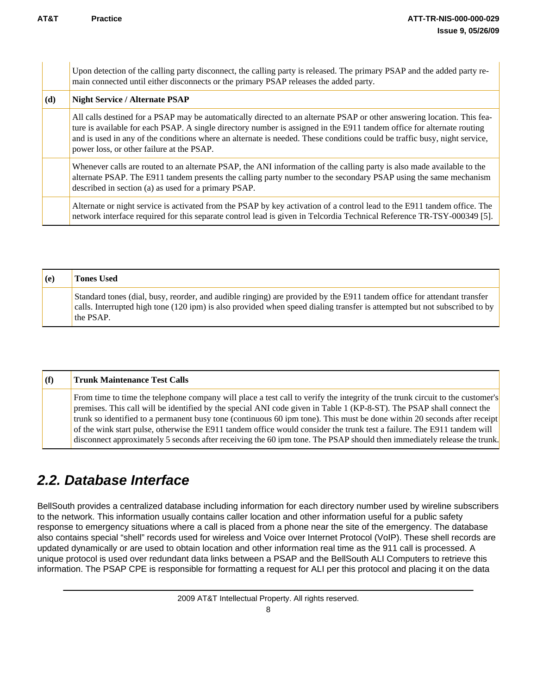<span id="page-11-0"></span>

|     | Upon detection of the calling party disconnect, the calling party is released. The primary PSAP and the added party re-<br>main connected until either disconnects or the primary PSAP releases the added party.                                                                                                                                                                                                            |
|-----|-----------------------------------------------------------------------------------------------------------------------------------------------------------------------------------------------------------------------------------------------------------------------------------------------------------------------------------------------------------------------------------------------------------------------------|
| (d) | <b>Night Service / Alternate PSAP</b>                                                                                                                                                                                                                                                                                                                                                                                       |
|     | All calls destined for a PSAP may be automatically directed to an alternate PSAP or other answering location. This fea-<br>ture is available for each PSAP. A single directory number is assigned in the E911 tandem office for alternate routing<br>and is used in any of the conditions where an alternate is needed. These conditions could be traffic busy, night service,<br>power loss, or other failure at the PSAP. |
|     | Whenever calls are routed to an alternate PSAP, the ANI information of the calling party is also made available to the<br>alternate PSAP. The E911 tandem presents the calling party number to the secondary PSAP using the same mechanism<br>described in section (a) as used for a primary PSAP.                                                                                                                          |
|     | Alternate or night service is activated from the PSAP by key activation of a control lead to the E911 tandem office. The<br>network interface required for this separate control lead is given in Telcordia Technical Reference TR-TSY-000349 [5].                                                                                                                                                                          |

| (e) | <b>Tones Used</b>                                                                                                                                                                                                                                                 |
|-----|-------------------------------------------------------------------------------------------------------------------------------------------------------------------------------------------------------------------------------------------------------------------|
|     | Standard tones (dial, busy, reorder, and audible ringing) are provided by the E911 tandem office for attendant transfer<br>calls. Interrupted high tone (120 ipm) is also provided when speed dialing transfer is attempted but not subscribed to by<br>the PSAP. |

#### **(f) Trunk Maintenance Test Calls** From time to time the telephone company will place a test call to verify the integrity of the trunk circuit to the customer's premises. This call will be identified by the special ANI code given in Table 1 (KP-8-ST). The PSAP shall connect the trunk so identified to a permanent busy tone (continuous 60 ipm tone). This must be done within 20 seconds after receipt of the wink start pulse, otherwise the E911 tandem office would consider the trunk test a failure. The E911 tandem will disconnect approximately 5 seconds after receiving the 60 ipm tone. The PSAP should then immediately release the trunk.

## *2.2. Database Interface*

BellSouth provides a centralized database including information for each directory number used by wireline subscribers to the network. This information usually contains caller location and other information useful for a public safety response to emergency situations where a call is placed from a phone near the site of the emergency. The database also contains special "shell" records used for wireless and Voice over Internet Protocol (VoIP). These shell records are updated dynamically or are used to obtain location and other information real time as the 911 call is processed. A unique protocol is used over redundant data links between a PSAP and the BellSouth ALI Computers to retrieve this information. The PSAP CPE is responsible for formatting a request for ALI per this protocol and placing it on the data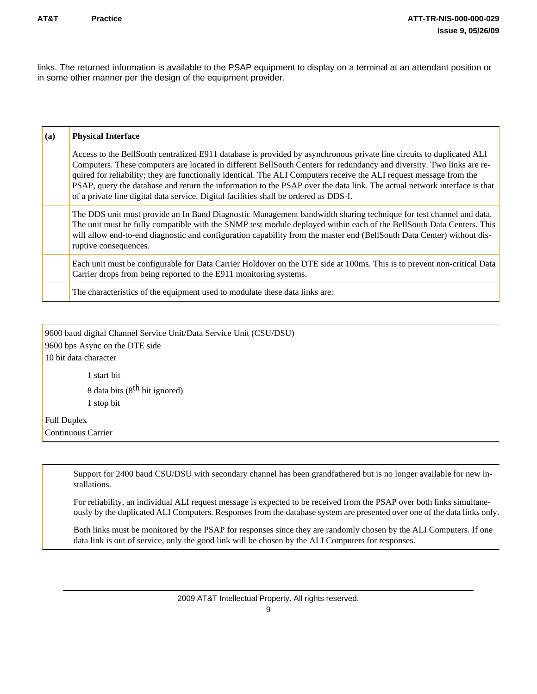links. The returned information is available to the PSAP equipment to display on a terminal at an attendant position or in some other manner per the design of the equipment provider.

| (a) | <b>Physical Interface</b>                                                                                                                                                                                                                                                                                                                                                                                                                                                                                                                                                                  |
|-----|--------------------------------------------------------------------------------------------------------------------------------------------------------------------------------------------------------------------------------------------------------------------------------------------------------------------------------------------------------------------------------------------------------------------------------------------------------------------------------------------------------------------------------------------------------------------------------------------|
|     | Access to the BellSouth centralized E911 database is provided by asynchronous private line circuits to duplicated ALI<br>Computers. These computers are located in different BellSouth Centers for redundancy and diversity. Two links are re-<br>quired for reliability; they are functionally identical. The ALI Computers receive the ALI request message from the<br>PSAP, query the database and return the information to the PSAP over the data link. The actual network interface is that<br>of a private line digital data service. Digital facilities shall be ordered as DDS-I. |
|     | The DDS unit must provide an In Band Diagnostic Management bandwidth sharing technique for test channel and data.<br>The unit must be fully compatible with the SNMP test module deployed within each of the BellSouth Data Centers. This<br>will allow end-to-end diagnostic and configuration capability from the master end (BellSouth Data Center) without dis-<br>ruptive consequences.                                                                                                                                                                                               |
|     | Each unit must be configurable for Data Carrier Holdover on the DTE side at 100ms. This is to prevent non-critical Data<br>Carrier drops from being reported to the E911 monitoring systems.                                                                                                                                                                                                                                                                                                                                                                                               |
|     | The characteristics of the equipment used to modulate these data links are:                                                                                                                                                                                                                                                                                                                                                                                                                                                                                                                |

9600 baud digital Channel Service Unit/Data Service Unit (CSU/DSU) 9600 bps Async on the DTE side 10 bit data character 1 start bit 8 data bits (8<sup>th</sup> bit ignored) 1 stop bit

Full Duplex Continuous Carrier

> Support for 2400 baud CSU/DSU with secondary channel has been grandfathered but is no longer available for new installations.

For reliability, an individual ALI request message is expected to be received from the PSAP over both links simultaneously by the duplicated ALI Computers. Responses from the database system are presented over one of the data links only.

Both links must be monitored by the PSAP for responses since they are randomly chosen by the ALI Computers. If one data link is out of service, only the good link will be chosen by the ALI Computers for responses.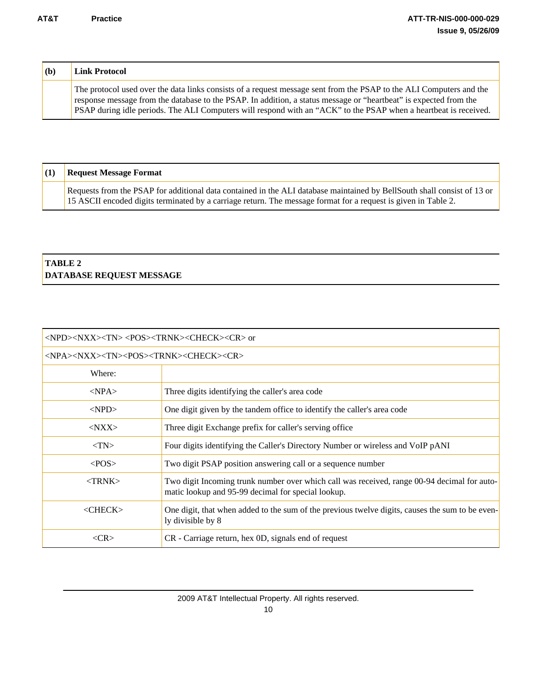| (b) | <b>Link Protocol</b>                                                                                                                                                                                                                                                                                                                                         |
|-----|--------------------------------------------------------------------------------------------------------------------------------------------------------------------------------------------------------------------------------------------------------------------------------------------------------------------------------------------------------------|
|     | The protocol used over the data links consists of a request message sent from the PSAP to the ALI Computers and the<br>response message from the database to the PSAP. In addition, a status message or "heartbeat" is expected from the<br>PSAP during idle periods. The ALI Computers will respond with an "ACK" to the PSAP when a heartbeat is received. |

| <b>Request Message Format</b>                                                                                                                                                                                                             |
|-------------------------------------------------------------------------------------------------------------------------------------------------------------------------------------------------------------------------------------------|
| Requests from the PSAP for additional data contained in the ALI database maintained by BellSouth shall consist of 13 or<br>15 ASCII encoded digits terminated by a carriage return. The message format for a request is given in Table 2. |

#### **TABLE 2 DATABASE REQUEST MESSAGE**

| <npd><nxx><tn> <pos><trnk><check><cr> or</cr></check></trnk></pos></tn></nxx></npd> |                                                                                                                                                   |  |  |
|-------------------------------------------------------------------------------------|---------------------------------------------------------------------------------------------------------------------------------------------------|--|--|
| <npa><nxx><tn><pos><trnk><check><cr></cr></check></trnk></pos></tn></nxx></npa>     |                                                                                                                                                   |  |  |
| Where:                                                                              |                                                                                                                                                   |  |  |
| $<$ NPA $>$                                                                         | Three digits identifying the caller's area code                                                                                                   |  |  |
| $<$ NPD $>$                                                                         | One digit given by the tandem office to identify the caller's area code                                                                           |  |  |
| $<$ NXX $>$                                                                         | Three digit Exchange prefix for caller's serving office                                                                                           |  |  |
| $<$ TN $>$                                                                          | Four digits identifying the Caller's Directory Number or wireless and VoIP pANI                                                                   |  |  |
| $<$ POS $>$                                                                         | Two digit PSAP position answering call or a sequence number                                                                                       |  |  |
| $<$ TRNK $>$                                                                        | Two digit Incoming trunk number over which call was received, range 00-94 decimal for auto-<br>matic lookup and 95-99 decimal for special lookup. |  |  |
| $<$ CHECK $>$                                                                       | One digit, that when added to the sum of the previous twelve digits, causes the sum to be even-<br>ly divisible by 8                              |  |  |
| <cr></cr>                                                                           | CR - Carriage return, hex 0D, signals end of request                                                                                              |  |  |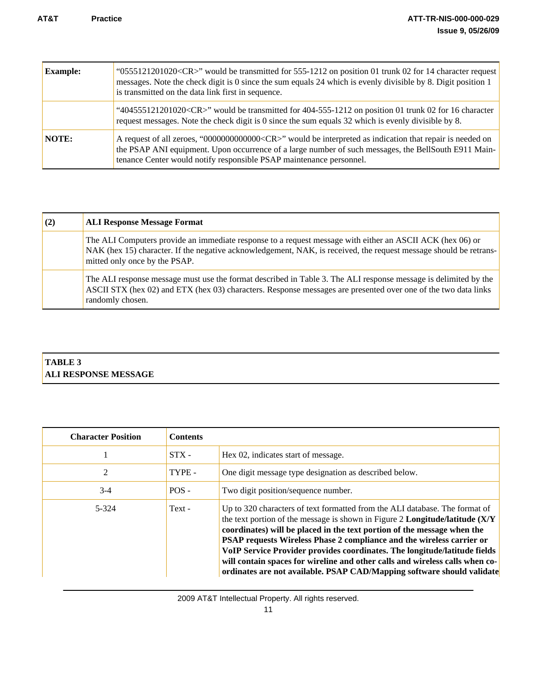| <b>Example:</b> | "0555121201020 <cr>" would be transmitted for 555-1212 on position 01 trunk 02 for 14 character request<br/>messages. Note the check digit is 0 since the sum equals 24 which is evenly divisible by 8. Digit position 1<br/>is transmitted on the data link first in sequence.</cr>             |
|-----------------|--------------------------------------------------------------------------------------------------------------------------------------------------------------------------------------------------------------------------------------------------------------------------------------------------|
|                 | "404555121201020 <cr>" would be transmitted for 404-555-1212 on position 01 trunk 02 for 16 character<br/>request messages. Note the check digit is 0 since the sum equals 32 which is evenly divisible by 8.</cr>                                                                               |
| NOTE:           | A request of all zeroes, "00000000000000 <cr>" would be interpreted as indication that repair is needed on<br/>the PSAP ANI equipment. Upon occurrence of a large number of such messages, the BellSouth E911 Main-<br/>tenance Center would notify responsible PSAP maintenance personnel.</cr> |

| (2) | <b>ALI Response Message Format</b>                                                                                                                                                                                                                              |
|-----|-----------------------------------------------------------------------------------------------------------------------------------------------------------------------------------------------------------------------------------------------------------------|
|     | The ALI Computers provide an immediate response to a request message with either an ASCII ACK (hex 06) or<br>NAK (hex 15) character. If the negative acknowledgement, NAK, is received, the request message should be retrans-<br>mitted only once by the PSAP. |
|     | The ALI response message must use the format described in Table 3. The ALI response message is delimited by the<br>ASCII STX (hex 02) and ETX (hex 03) characters. Response messages are presented over one of the two data links<br>randomly chosen.           |

#### **TABLE 3 ALI RESPONSE MESSAGE**

| <b>Character Position</b> | <b>Contents</b> |                                                                                                                                                                                                                                                                                                                                                                                                                                                                                                                                                        |
|---------------------------|-----------------|--------------------------------------------------------------------------------------------------------------------------------------------------------------------------------------------------------------------------------------------------------------------------------------------------------------------------------------------------------------------------------------------------------------------------------------------------------------------------------------------------------------------------------------------------------|
|                           | $STX -$         | Hex 02, indicates start of message.                                                                                                                                                                                                                                                                                                                                                                                                                                                                                                                    |
| 2                         | TYPE -          | One digit message type designation as described below.                                                                                                                                                                                                                                                                                                                                                                                                                                                                                                 |
| $3-4$                     | $POS -$         | Two digit position/sequence number.                                                                                                                                                                                                                                                                                                                                                                                                                                                                                                                    |
| 5-324                     | Text -          | Up to 320 characters of text formatted from the ALI database. The format of<br>the text portion of the message is shown in Figure 2 Longitude/latitude (X/Y<br>coordinates) will be placed in the text portion of the message when the<br>PSAP requests Wireless Phase 2 compliance and the wireless carrier or<br>VoIP Service Provider provides coordinates. The longitude/latitude fields<br>will contain spaces for wireline and other calls and wireless calls when co-<br>ordinates are not available. PSAP CAD/Mapping software should validate |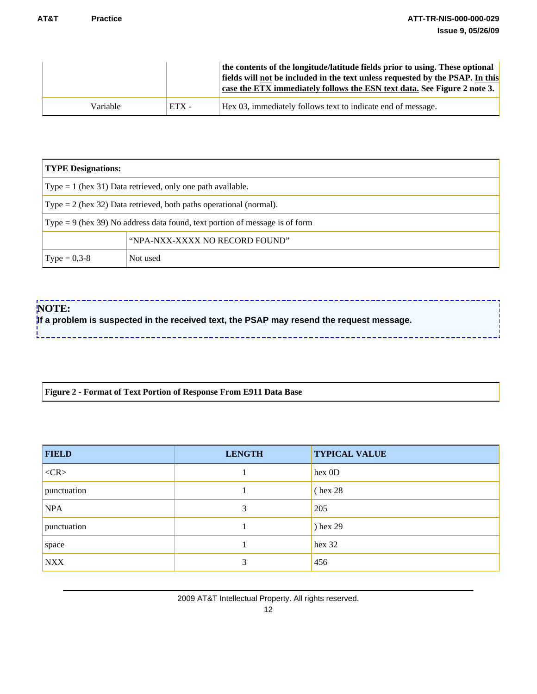|          |         | the contents of the longitude/latitude fields prior to using. These optional<br>fields will not be included in the text unless requested by the PSAP. In this<br>case the ETX immediately follows the ESN text data. See Figure 2 note 3. |
|----------|---------|-------------------------------------------------------------------------------------------------------------------------------------------------------------------------------------------------------------------------------------------|
| Variable | $ETX -$ | Hex 03, immediately follows text to indicate end of message.                                                                                                                                                                              |

| <b>TYPE Designations:</b>                                                     |                                |  |  |
|-------------------------------------------------------------------------------|--------------------------------|--|--|
| Type $= 1$ (hex 31) Data retrieved, only one path available.                  |                                |  |  |
| Type $= 2$ (hex 32) Data retrieved, both paths operational (normal).          |                                |  |  |
| Type $= 9$ (hex 39) No address data found, text portion of message is of form |                                |  |  |
|                                                                               | "NPA-NXX-XXXX NO RECORD FOUND" |  |  |
| $Type = 0,3-8$                                                                | Not used                       |  |  |

#### **NOTE:**

**If a problem is suspected in the received text, the PSAP may resend the request message.** 

#### **Figure 2 - Format of Text Portion of Response From E911 Data Base**

| <b>FIELD</b> | <b>LENGTH</b> | <b>TYPICAL VALUE</b> |
|--------------|---------------|----------------------|
| $<$ CR $>$   |               | hex 0D               |
| punctuation  |               | $($ hex 28           |
| <b>NPA</b>   | 3             | 205                  |
| punctuation  |               | ) hex 29             |
| space        |               | hex 32               |
| <b>NXX</b>   | 3             | 456                  |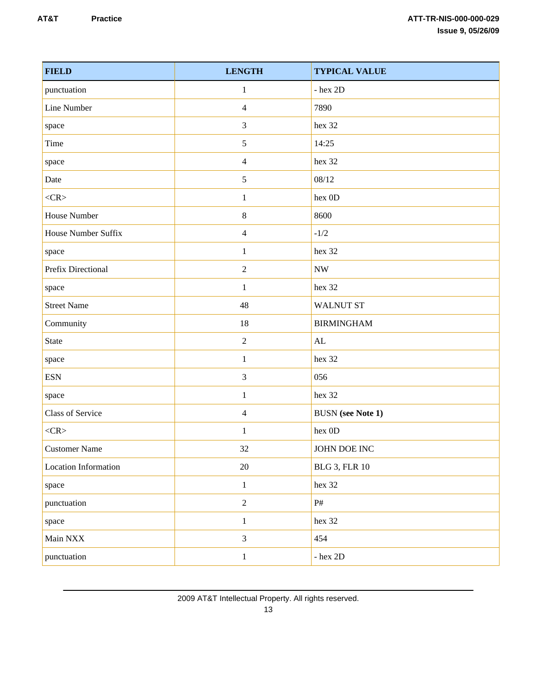| <b>FIELD</b>         | <b>LENGTH</b>  | <b>TYPICAL VALUE</b>     |
|----------------------|----------------|--------------------------|
| punctuation          | 1              | $-$ hex $2D$             |
| Line Number          | $\overline{4}$ | 7890                     |
| space                | 3              | hex 32                   |
| Time                 | 5              | 14:25                    |
| space                | $\overline{4}$ | hex 32                   |
| Date                 | $\mathfrak{S}$ | 08/12                    |
| $<$ CR>              | $\mathbf{1}$   | hex 0D                   |
| House Number         | $8\,$          | 8600                     |
| House Number Suffix  | $\overline{4}$ | $-1/2$                   |
| space                | $\mathbf{1}$   | hex 32                   |
| Prefix Directional   | $\sqrt{2}$     | $\ensuremath{\text{NW}}$ |
| space                | $\mathbf{1}$   | hex 32                   |
| <b>Street Name</b>   | 48             | <b>WALNUT ST</b>         |
| Community            | 18             | <b>BIRMINGHAM</b>        |
| <b>State</b>         | $\sqrt{2}$     | $\mathbf{AL}$            |
| space                | $\mathbf{1}$   | hex 32                   |
| <b>ESN</b>           | $\mathfrak{Z}$ | 056                      |
| space                | $\mathbf{1}$   | hex 32                   |
| Class of Service     | $\overline{4}$ | <b>BUSN</b> (see Note 1) |
| $<$ CR>              | 1              | hex 0D                   |
| <b>Customer Name</b> | 32             | JOHN DOE INC             |
| Location Information | 20             | <b>BLG 3, FLR 10</b>     |
| space                | $\mathbf{1}$   | hex 32                   |
| punctuation          | $\overline{2}$ | $\mathrm{P}\#$           |
| space                | $\mathbf{1}$   | hex 32                   |
| Main NXX             | $\overline{3}$ | 454                      |
| punctuation          | $\mathbf{1}$   | - hex $2\mathsf{D}$      |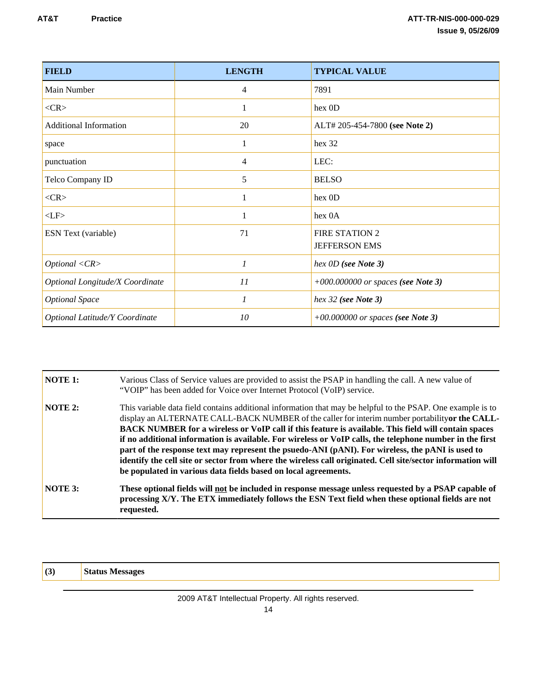| <b>FIELD</b>                    | <b>LENGTH</b> | <b>TYPICAL VALUE</b>                 |  |
|---------------------------------|---------------|--------------------------------------|--|
| Main Number                     | 4             | 7891                                 |  |
| $<$ CR $>$                      |               | hex 0D                               |  |
| <b>Additional Information</b>   | 20            | ALT# 205-454-7800 (see Note 2)       |  |
| space                           | 1             | hex 32                               |  |
| punctuation                     | 4             | LEC:                                 |  |
| Telco Company ID                | 5             | <b>BELSO</b>                         |  |
| $<$ CR $>$                      | 1             | hex 0D                               |  |
| $<$ LF>                         | 1             | hex 0A                               |  |
| ESN Text (variable)             | 71            | <b>FIRE STATION 2</b>                |  |
|                                 |               | <b>JEFFERSON EMS</b>                 |  |
| Optional < CR>                  | $\mathcal{I}$ | hex OD (see Note 3)                  |  |
| Optional Longitude/X Coordinate | 11            | $+000.000000$ or spaces (see Note 3) |  |
| <b>Optional Space</b>           | $\mathcal{I}$ | hex $32$ (see Note 3)                |  |
| Optional Latitude/Y Coordinate  | 10            | $+00.000000$ or spaces (see Note 3)  |  |

| NOTE 1:        | Various Class of Service values are provided to assist the PSAP in handling the call. A new value of<br>"VOIP" has been added for Voice over Internet Protocol (VoIP) service.                                                                                                                                                                                                                                                                                                                                                                                                                                                                                                                                          |
|----------------|-------------------------------------------------------------------------------------------------------------------------------------------------------------------------------------------------------------------------------------------------------------------------------------------------------------------------------------------------------------------------------------------------------------------------------------------------------------------------------------------------------------------------------------------------------------------------------------------------------------------------------------------------------------------------------------------------------------------------|
| NOTE 2:        | This variable data field contains additional information that may be helpful to the PSAP. One example is to<br>display an ALTERNATE CALL-BACK NUMBER of the caller for interim number portability or the CALL-<br>BACK NUMBER for a wireless or VoIP call if this feature is available. This field will contain spaces<br>if no additional information is available. For wireless or VoIP calls, the telephone number in the first<br>part of the response text may represent the psuedo-ANI (pANI). For wireless, the pANI is used to<br>identify the cell site or sector from where the wireless call originated. Cell site/sector information will<br>be populated in various data fields based on local agreements. |
| <b>NOTE 3:</b> | These optional fields will not be included in response message unless requested by a PSAP capable of<br>processing X/Y. The ETX immediately follows the ESN Text field when these optional fields are not<br>requested.                                                                                                                                                                                                                                                                                                                                                                                                                                                                                                 |

**(3) Status Messages**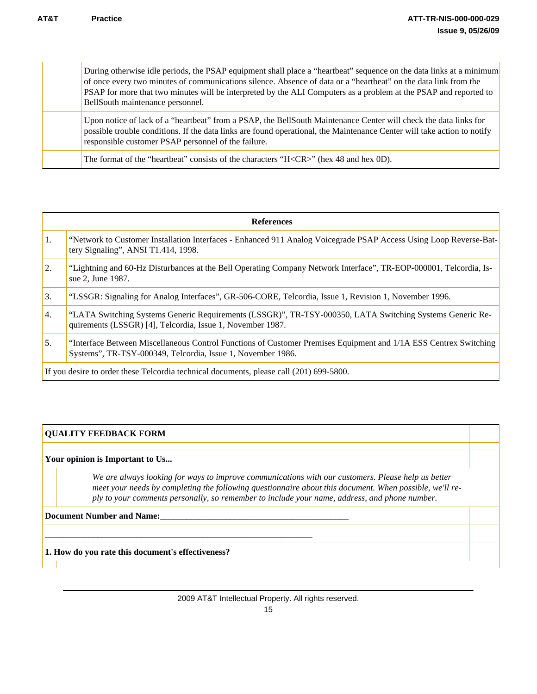During otherwise idle periods, the PSAP equipment shall place a "heartbeat" sequence on the data links at a minimum of once every two minutes of communications silence. Absence of data or a "heartbeat" on the data link from the PSAP for more that two minutes will be interpreted by the ALI Computers as a problem at the PSAP and reported to BellSouth maintenance personnel.

Upon notice of lack of a "heartbeat" from a PSAP, the BellSouth Maintenance Center will check the data links for possible trouble conditions. If the data links are found operational, the Maintenance Center will take action to notify responsible customer PSAP personnel of the failure.

The format of the "heartbeat" consists of the characters "H<CR>" (hex 48 and hex 0D).

| <b>References</b>                                                                       |                                                                                                                                                                                 |  |  |  |
|-----------------------------------------------------------------------------------------|---------------------------------------------------------------------------------------------------------------------------------------------------------------------------------|--|--|--|
| $\vert$ 1.                                                                              | "Network to Customer Installation Interfaces - Enhanced 911 Analog Voicegrade PSAP Access Using Loop Reverse-Bat-<br>tery Signaling", ANSI T1.414, 1998.                        |  |  |  |
| 2.                                                                                      | "Lightning and 60-Hz Disturbances at the Bell Operating Company Network Interface", TR-EOP-000001, Telcordia, Is-<br>sue 2, June 1987.                                          |  |  |  |
| 3.                                                                                      | "LSSGR: Signaling for Analog Interfaces", GR-506-CORE, Telcordia, Issue 1, Revision 1, November 1996.                                                                           |  |  |  |
| 4.                                                                                      | "LATA Switching Systems Generic Requirements (LSSGR)", TR-TSY-000350, LATA Switching Systems Generic Re-<br>quirements (LSSGR) [4], Telcordia, Issue 1, November 1987.          |  |  |  |
| 5.                                                                                      | "Interface Between Miscellaneous Control Functions of Customer Premises Equipment and 1/1A ESS Centrex Switching<br>Systems", TR-TSY-000349, Telcordia, Issue 1, November 1986. |  |  |  |
| If you desire to order these Telcordia technical documents, please call (201) 699-5800. |                                                                                                                                                                                 |  |  |  |

#### **QUALITY FEEDBACK FORM**

**Your opinion is Important to Us...**

*We are always looking for ways to improve communications with our customers. Please help us better meet your needs by completing the following questionnaire about this document. When possible, we'll reply to your comments personally, so remember to include your name, address, and phone number.*

**Document Number and Name:** 

**1. How do you rate this document's effectiveness?**

\_\_\_\_\_\_\_\_\_\_\_\_\_\_\_\_\_\_\_\_\_\_\_\_\_\_\_\_\_\_\_\_\_\_\_\_\_\_\_\_\_\_\_\_\_\_\_\_\_\_\_\_\_\_\_\_\_\_\_\_\_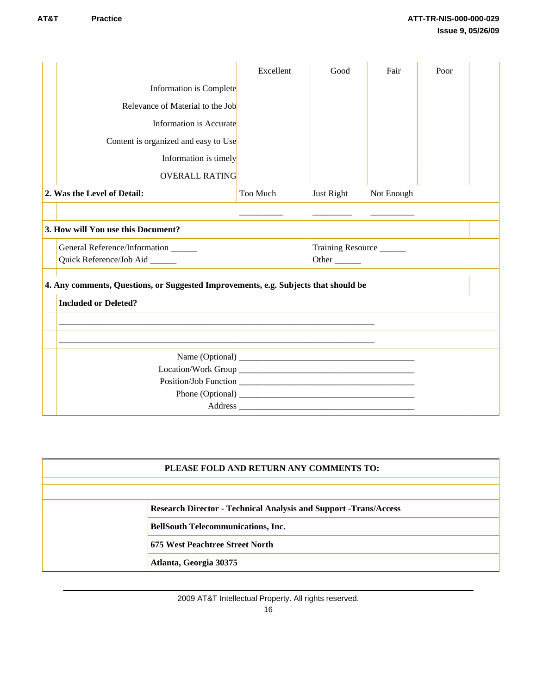|                                                                                     |                                     |                                      | Excellent | Good                    | Fair       | Poor |  |  |  |
|-------------------------------------------------------------------------------------|-------------------------------------|--------------------------------------|-----------|-------------------------|------------|------|--|--|--|
|                                                                                     |                                     | Information is Complete              |           |                         |            |      |  |  |  |
|                                                                                     |                                     | Relevance of Material to the Job     |           |                         |            |      |  |  |  |
|                                                                                     |                                     | <b>Information is Accurate</b>       |           |                         |            |      |  |  |  |
|                                                                                     |                                     | Content is organized and easy to Use |           |                         |            |      |  |  |  |
|                                                                                     |                                     | Information is timely                |           |                         |            |      |  |  |  |
|                                                                                     |                                     | <b>OVERALL RATING</b>                |           |                         |            |      |  |  |  |
|                                                                                     | 2. Was the Level of Detail:         |                                      | Too Much  | Just Right              | Not Enough |      |  |  |  |
|                                                                                     |                                     |                                      |           |                         |            |      |  |  |  |
| 3. How will You use this Document?                                                  |                                     |                                      |           |                         |            |      |  |  |  |
|                                                                                     | General Reference/Information _____ |                                      |           | Training Resource       |            |      |  |  |  |
|                                                                                     | Quick Reference/Job Aid _____       |                                      |           | Other $\_\_\_\_\_\_\_\$ |            |      |  |  |  |
| 4. Any comments, Questions, or Suggested Improvements, e.g. Subjects that should be |                                     |                                      |           |                         |            |      |  |  |  |
|                                                                                     |                                     | <b>Included or Deleted?</b>          |           |                         |            |      |  |  |  |
|                                                                                     |                                     |                                      |           |                         |            |      |  |  |  |
|                                                                                     |                                     |                                      |           |                         |            |      |  |  |  |
|                                                                                     |                                     |                                      |           |                         |            |      |  |  |  |
|                                                                                     |                                     |                                      |           |                         |            |      |  |  |  |
|                                                                                     |                                     |                                      |           |                         |            |      |  |  |  |
|                                                                                     |                                     |                                      |           |                         |            |      |  |  |  |
|                                                                                     |                                     |                                      |           |                         |            |      |  |  |  |

#### **PLEASE FOLD AND RETURN ANY COMMENTS TO:**

**Research Director - Technical Analysis and Support -Trans/Access**

**BellSouth Telecommunications, Inc.**

**675 West Peachtree Street North**

**Atlanta, Georgia 30375**